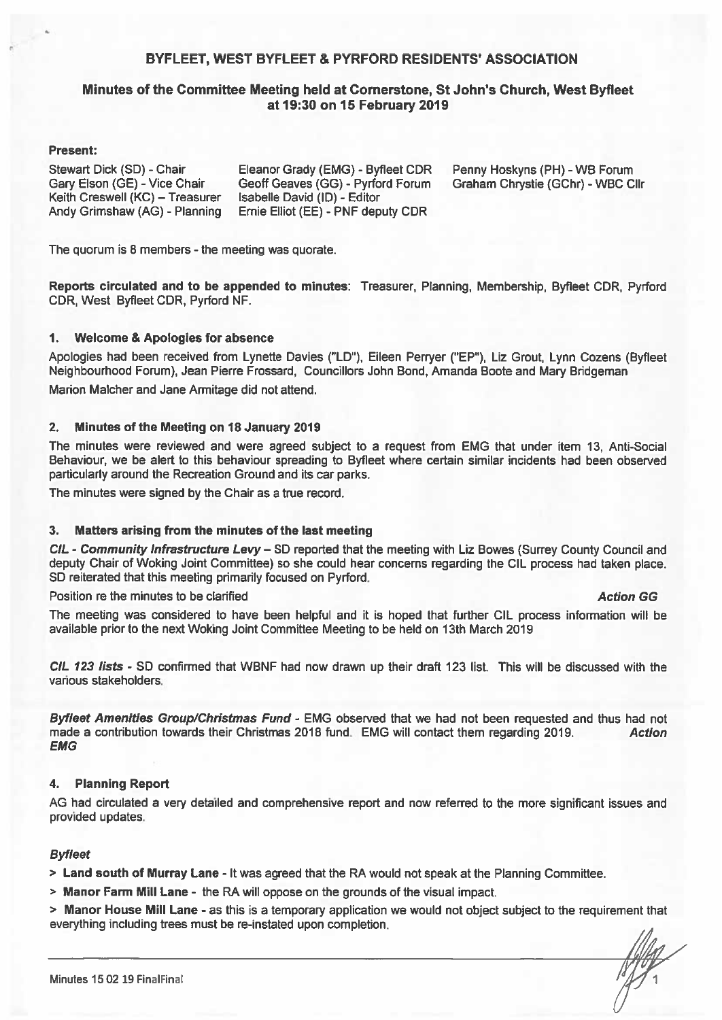### BYFLEET, WEST BYFLEET & PYRFORD RESIDENTS' ASSOCIATION

### Minutes of the Committee Meeting held at Cornerstone, St John's Church, West Byfleet at 19:30 on 15 February 2019

#### **Present:**

Stewart Dick (SD) - Chair Gary Elson (GE) - Vice Chair Keith Creswell (KC) - Treasurer Andy Grimshaw (AG) - Planning Eleanor Grady (EMG) - Byfleet CDR Geoff Geaves (GG) - Pyrford Forum Isabelle David (ID) - Editor Ernie Elliot (EE) - PNF deputy CDR

Penny Hoskyns (PH) - WB Forum Graham Chrystie (GChr) - WBC Cllr

The quorum is 8 members - the meeting was quorate.

Reports circulated and to be appended to minutes: Treasurer, Planning, Membership, Byfleet CDR, Pyrford CDR, West Byfleet CDR, Pyrford NF.

#### $1.$ **Welcome & Apologies for absence**

Apologies had been received from Lynette Davies ("LD"), Eileen Perryer ("EP"), Liz Grout, Lynn Cozens (Byfleet Neighbourhood Forum), Jean Pierre Frossard, Councillors John Bond, Amanda Boote and Mary Bridgeman

Marion Malcher and Jane Armitage did not attend.

#### $2.$ **Minutes of the Meeting on 18 January 2019**

The minutes were reviewed and were agreed subject to a request from EMG that under item 13. Anti-Social Behaviour, we be alert to this behaviour spreading to Byfleet where certain similar incidents had been observed particularly around the Recreation Ground and its car parks.

The minutes were signed by the Chair as a true record.

#### Matters arising from the minutes of the last meeting  $3<sub>-</sub>$

CIL - Community Infrastructure Levy - SD reported that the meeting with Liz Bowes (Surrey County Council and deputy Chair of Woking Joint Committee) so she could hear concerns regarding the CIL process had taken place. SD reiterated that this meeting primarily focused on Pyrford.

Position re the minutes to be clarified

#### **Action GG**

The meeting was considered to have been helpful and it is hoped that further CIL process information will be available prior to the next Woking Joint Committee Meeting to be held on 13th March 2019

CIL 123 lists - SD confirmed that WBNF had now drawn up their draft 123 list. This will be discussed with the various stakeholders.

Byfleet Amenities Group/Christmas Fund - EMG observed that we had not been requested and thus had not made a contribution towards their Christmas 2018 fund. EMG will contact them regarding 2019. **Action EMG** 

#### $4.$ **Planning Report**

AG had circulated a very detailed and comprehensive report and now referred to the more significant issues and provided updates.

#### **Byfleet**

> Land south of Murray Lane - It was agreed that the RA would not speak at the Planning Committee.

> Manor Farm Mill Lane - the RA will oppose on the grounds of the visual impact.

> Manor House Mill Lane - as this is a temporary application we would not object subject to the requirement that everything including trees must be re-instated upon completion.

 $\frac{1}{\sqrt{2}}$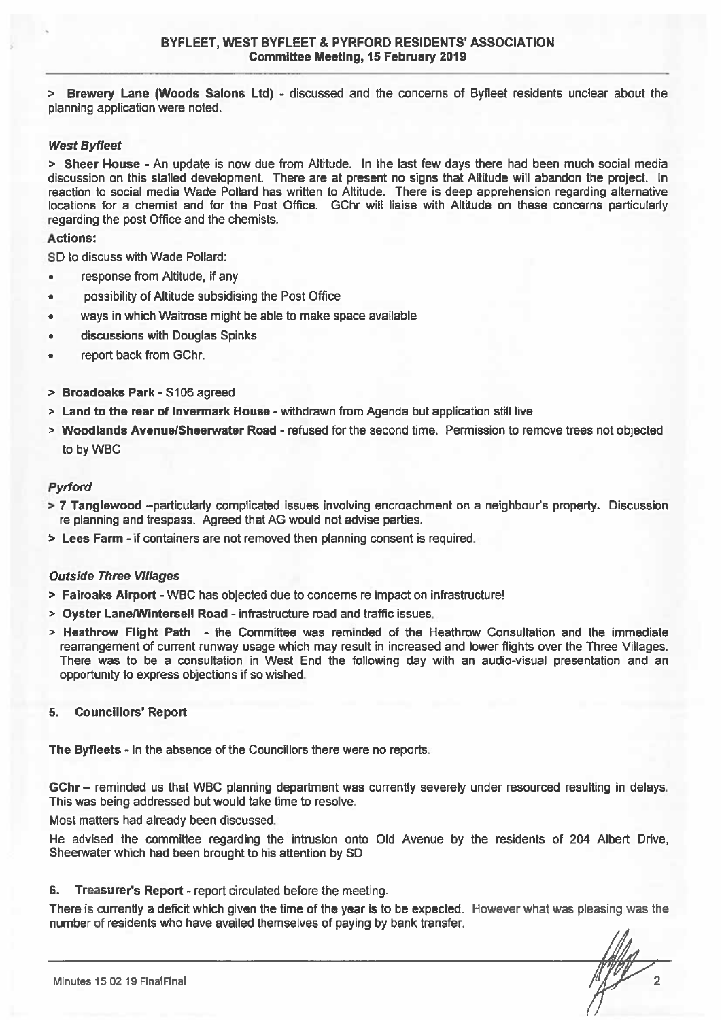> Brewery Lane (Woods Salons Ltd) - discussed and the concerns of Byfleet residents unclear about the planning application were noted.

#### **West Byfleet**

> Sheer House - An update is now due from Altitude. In the last few days there had been much social media discussion on this stalled development. There are at present no signs that Altitude will abandon the project. In reaction to social media Wade Pollard has written to Altitude. There is deep apprehension regarding alternative locations for a chemist and for the Post Office. GChr will liaise with Altitude on these concerns particularly regarding the post Office and the chemists.

#### **Actions:**

SD to discuss with Wade Pollard:

- response from Altitude, if any
- possibility of Altitude subsidising the Post Office
- ways in which Waitrose might be able to make space available
- discussions with Douglas Spinks
- report back from GChr.  $\blacksquare$
- > Broadoaks Park S106 agreed
- > Land to the rear of Invermark House withdrawn from Agenda but application still live
- > Woodlands Avenue/Sheerwater Road refused for the second time. Permission to remove trees not objected to by WBC

#### **Pyrford**

- > 7 Tanglewood --particularly complicated issues involving encroachment on a neighbour's property. Discussion re planning and trespass. Agreed that AG would not advise parties.
- > Lees Farm if containers are not removed then planning consent is required.

### **Outside Three Villages**

- > Fairoaks Airport WBC has objected due to concerns re impact on infrastructure!
- > Oyster Lane/Wintersell Road infrastructure road and traffic issues.
- > Heathrow Flight Path the Committee was reminded of the Heathrow Consultation and the immediate rearrangement of current runway usage which may result in increased and lower flights over the Three Villages. There was to be a consultation in West End the following day with an audio-visual presentation and an opportunity to express objections if so wished.

#### 5. **Councillors' Report**

The Byfleets - In the absence of the Councillors there were no reports.

GChr - reminded us that WBC planning department was currently severely under resourced resulting in delays. This was being addressed but would take time to resolve.

Most matters had already been discussed.

He advised the committee regarding the intrusion onto Old Avenue by the residents of 204 Albert Drive, Sheerwater which had been brought to his attention by SD

#### Treasurer's Report - report circulated before the meeting. 6.

There is currently a deficit which given the time of the year is to be expected. However what was pleasing was the number of residents who have availed themselves of paying by bank transfer.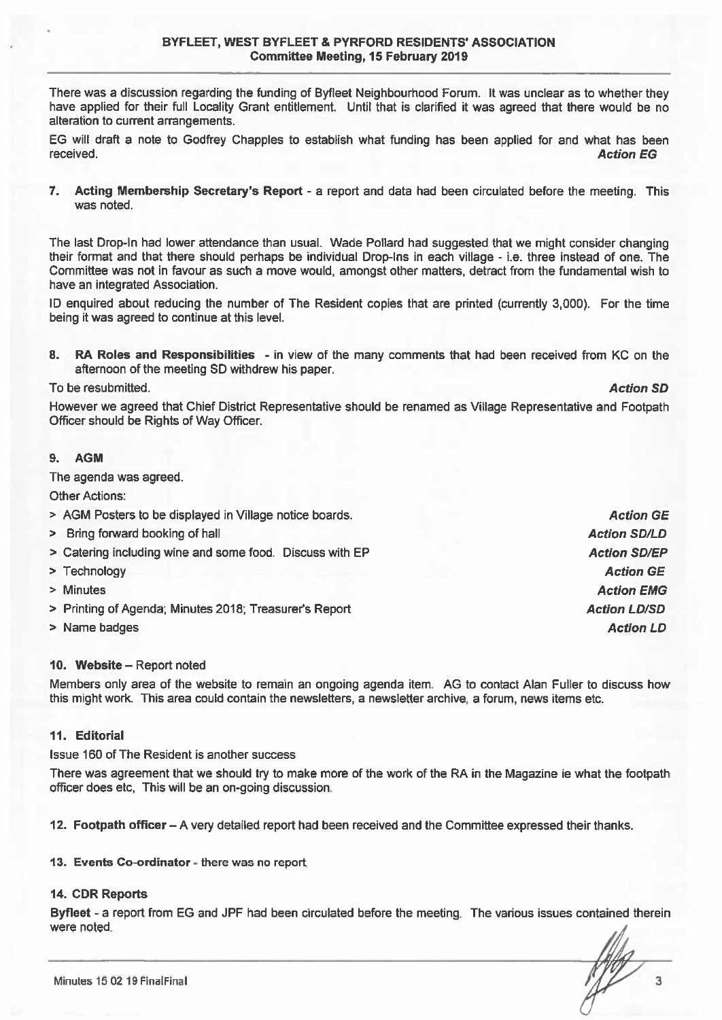There was a discussion regarding the funding of Byfleet Neighbourhood Forum. It was unclear as to whether they have applied for their full Locality Grant entitlement. Until that is clarified it was agreed that there would be no alteration to current arrangements.

EG will draft a note to Godfrey Chapples to establish what funding has been applied for and what has been received. **Action EG** 

7. Acting Membership Secretary's Report - a report and data had been circulated before the meeting. This was noted.

The last Drop-In had lower attendance than usual. Wade Pollard had suggested that we might consider changing their format and that there should perhaps be individual Drop-Ins in each village - i.e. three instead of one. The Committee was not in favour as such a move would, amongst other matters, detract from the fundamental wish to have an integrated Association.

ID enquired about reducing the number of The Resident copies that are printed (currently 3,000). For the time being it was agreed to continue at this level.

 $\mathbf{R}$ RA Roles and Responsibilities - in view of the many comments that had been received from KC on the afternoon of the meeting SD withdrew his paper.

To be resubmitted.

However we agreed that Chief District Representative should be renamed as Village Representative and Footpath Officer should be Rights of Way Officer.

#### 9. **AGM**

The agenda was agreed.

**Other Actions:** 

- > AGM Posters to be displayed in Village notice boards.
- > Bring forward booking of hall
- > Catering including wine and some food. Discuss with EP
- > Technology
- > Minutes
- > Printing of Agenda; Minutes 2018; Treasurer's Report
- > Name badges

#### 10. Website – Report noted

Members only area of the website to remain an ongoing agenda item. AG to contact Alan Fuller to discuss how this might work. This area could contain the newsletters, a newsletter archive, a forum, news items etc.

#### 11. Editorial

Issue 160 of The Resident is another success

There was agreement that we should try to make more of the work of the RA in the Magazine ie what the footpath officer does etc. This will be an on-going discussion.

12. Footpath officer – A very detailed report had been received and the Committee expressed their thanks.

13. Events Co-ordinator - there was no report.

#### 14. CDR Reports

Byfleet - a report from EG and JPF had been circulated before the meeting. The various issues contained therein were noted.

**Action SD** 

**Action SD/LD Action SD/EP Action GE Action EMG Action LD/SD Action LD** 

**Action GE**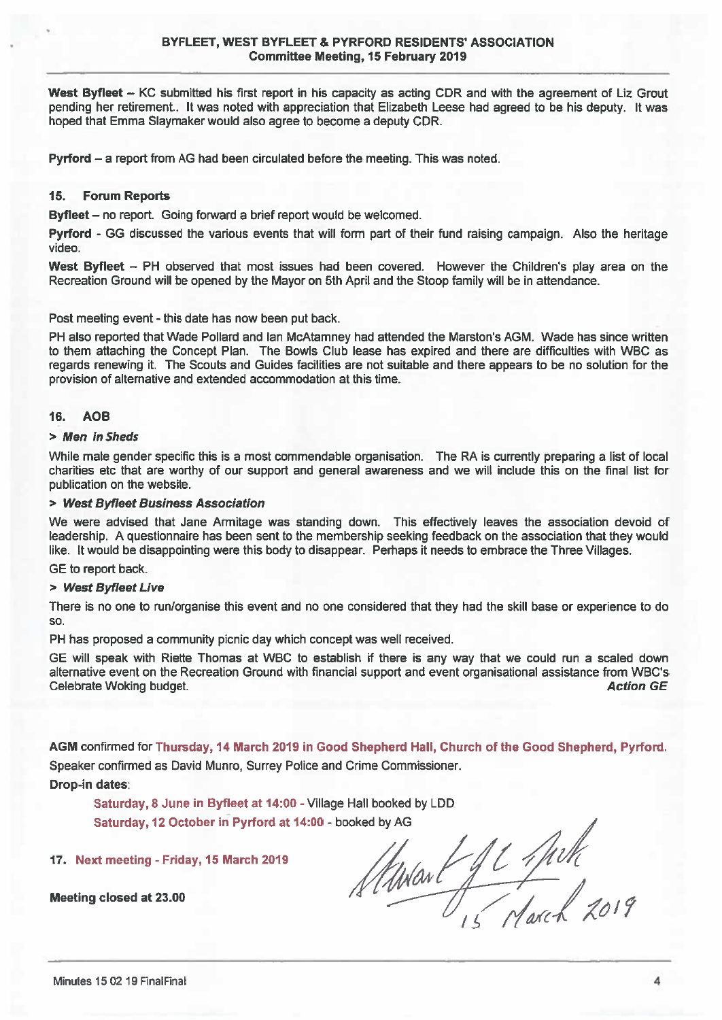West Byfleet - KC submitted his first report in his capacity as acting CDR and with the agreement of Liz Grout pending her retirement.. It was noted with appreciation that Elizabeth Leese had agreed to be his deputy. It was hoped that Emma Slaymaker would also agree to become a deputy CDR.

**Pyrford** – a report from AG had been circulated before the meeting. This was noted.

#### $15.$ **Forum Reports**

Byfleet - no report. Going forward a brief report would be welcomed.

Pyrford - GG discussed the various events that will form part of their fund raising campaign. Also the heritage video.

West Byfleet - PH observed that most issues had been covered. However the Children's play area on the Recreation Ground will be opened by the Mayor on 5th April and the Stoop family will be in attendance.

Post meeting event - this date has now been put back.

PH also reported that Wade Pollard and Ian McAtamney had attended the Marston's AGM. Wade has since written to them attaching the Concept Plan. The Bowls Club lease has expired and there are difficulties with WBC as regards renewing it. The Scouts and Guides facilities are not suitable and there appears to be no solution for the provision of alternative and extended accommodation at this time.

#### 16. **AOB**

#### > Men in Sheds

While male gender specific this is a most commendable organisation. The RA is currently preparing a list of local charities etc that are worthy of our support and general awareness and we will include this on the final list for publication on the website.

#### > West Byfleet Business Association

We were advised that Jane Armitage was standing down. This effectively leaves the association devoid of leadership. A questionnaire has been sent to the membership seeking feedback on the association that they would like. It would be disappointing were this body to disappear. Perhaps it needs to embrace the Three Villages.

GE to report back.

#### > West Byfleet Live

There is no one to run/organise this event and no one considered that they had the skill base or experience to do  $SO<sub>2</sub>$ 

PH has proposed a community picnic day which concept was well received.

GE will speak with Riette Thomas at WBC to establish if there is any way that we could run a scaled down alternative event on the Recreation Ground with financial support and event organisational assistance from WBC's **Action GE** Celebrate Woking budget.

AGM confirmed for Thursday, 14 March 2019 in Good Shepherd Hall, Church of the Good Shepherd, Pyrford. Speaker confirmed as David Munro, Surrey Police and Crime Commissioner.

Drop-in dates:

Saturday, 8 June in Byfleet at 14:00 - Village Hall booked by LDD Saturday, 12 October in Pyrford at 14:00 - booked by AG

### 17. Next meeting - Friday, 15 March 2019

Meeting closed at 23.00

Standard Je Julk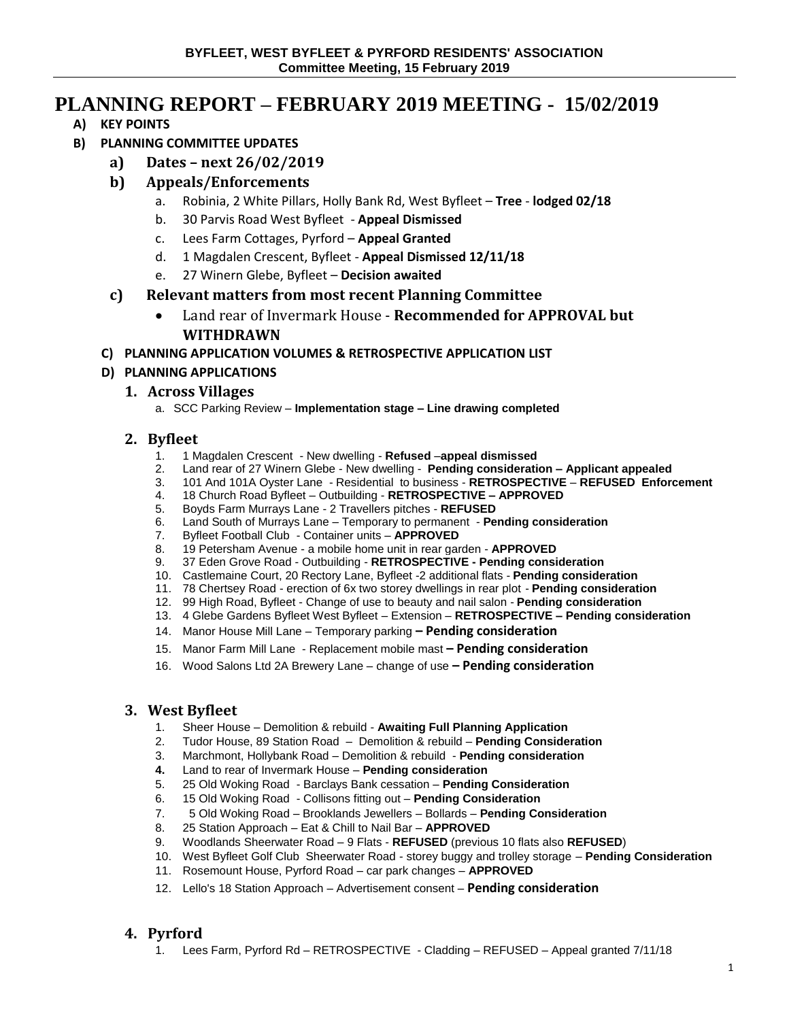# **PLANNING REPORT – FEBRUARY 2019 MEETING - 15/02/2019**

**A) KEY POINTS**

# **B) PLANNING COMMITTEE UPDATES**

**a) Dates – next 26/02/2019**

# **b) Appeals/Enforcements**

- a. Robinia, 2 White Pillars, Holly Bank Rd, West Byfleet **Tree lodged 02/18**
- b. 30 Parvis Road West Byfleet **Appeal Dismissed**
- c. Lees Farm Cottages, Pyrford **Appeal Granted**
- d. 1 Magdalen Crescent, Byfleet **Appeal Dismissed 12/11/18**
- e. 27 Winern Glebe, Byfleet **Decision awaited**

# **c) Relevant matters from most recent Planning Committee**

- Land rear of Invermark House **Recommended for APPROVAL but WITHDRAWN**
- **C) PLANNING APPLICATION VOLUMES & RETROSPECTIVE APPLICATION LIST**

# **D) PLANNING APPLICATIONS**

# **1. Across Villages**

a. SCC Parking Review – **Implementation stage – Line drawing completed** 

# **2. Byfleet**

- 1. 1 Magdalen Crescent New dwelling **Refused** –**appeal dismissed**
- 2. Land rear of 27 Winern Glebe New dwelling **Pending consideration – Applicant appealed**
- 3. 101 And 101A Oyster Lane Residential to business **RETROSPECTIVE REFUSED Enforcement**
- 4. 18 Church Road Byfleet Outbuilding **RETROSPECTIVE – APPROVED**
- 5. Boyds Farm Murrays Lane 2 Travellers pitches **REFUSED**
- 6. Land South of Murrays Lane Temporary to permanent **Pending consideration**
- 7. Byfleet Football Club Container units **APPROVED**
- 8. 19 Petersham Avenue a mobile home unit in rear garden **APPROVED**
- 9. 37 Eden Grove Road Outbuilding **RETROSPECTIVE - Pending consideration**
- 10. Castlemaine Court, 20 Rectory Lane, Byfleet -2 additional flats **Pending consideration**
- 11. 78 Chertsey Road erection of 6x two storey dwellings in rear plot **Pending consideration**
- 12. 99 High Road, Byfleet Change of use to beauty and nail salon **Pending consideration**
- 13. 4 Glebe Gardens Byfleet West Byfleet Extension **RETROSPECTIVE – Pending consideration**
- 14. Manor House Mill Lane Temporary parking **– Pending consideration**
- 15. Manor Farm Mill Lane Replacement mobile mast **– Pending consideration**
- 16. Wood Salons Ltd 2A Brewery Lane change of use **– Pending consideration**

## **3. West Byfleet**

- 1. Sheer House Demolition & rebuild **Awaiting Full Planning Application**
- 2. Tudor House, 89 Station Road Demolition & rebuild **Pending Consideration**
- 3. Marchmont, Hollybank Road Demolition & rebuild **Pending consideration**
- **4.** Land to rear of Invermark House **Pending consideration**
- 5. 25 Old Woking Road Barclays Bank cessation **Pending Consideration**
- 6. 15 Old Woking Road Collisons fitting out **Pending Consideration**
- 7. 5 Old Woking Road Brooklands Jewellers Bollards **Pending Consideration**
- 8. 25 Station Approach Eat & Chill to Nail Bar **APPROVED**
- 9. Woodlands Sheerwater Road 9 Flats **REFUSED** (previous 10 flats also **REFUSED**)
- 10. West Byfleet Golf Club Sheerwater Road storey buggy and trolley storage **Pending Consideration**
- 11. Rosemount House, Pyrford Road car park changes **APPROVED**
- 12. Lello's 18 Station Approach Advertisement consent **Pending consideration**

# **4. Pyrford**

1. Lees Farm, Pyrford Rd – RETROSPECTIVE - Cladding – REFUSED – Appeal granted 7/11/18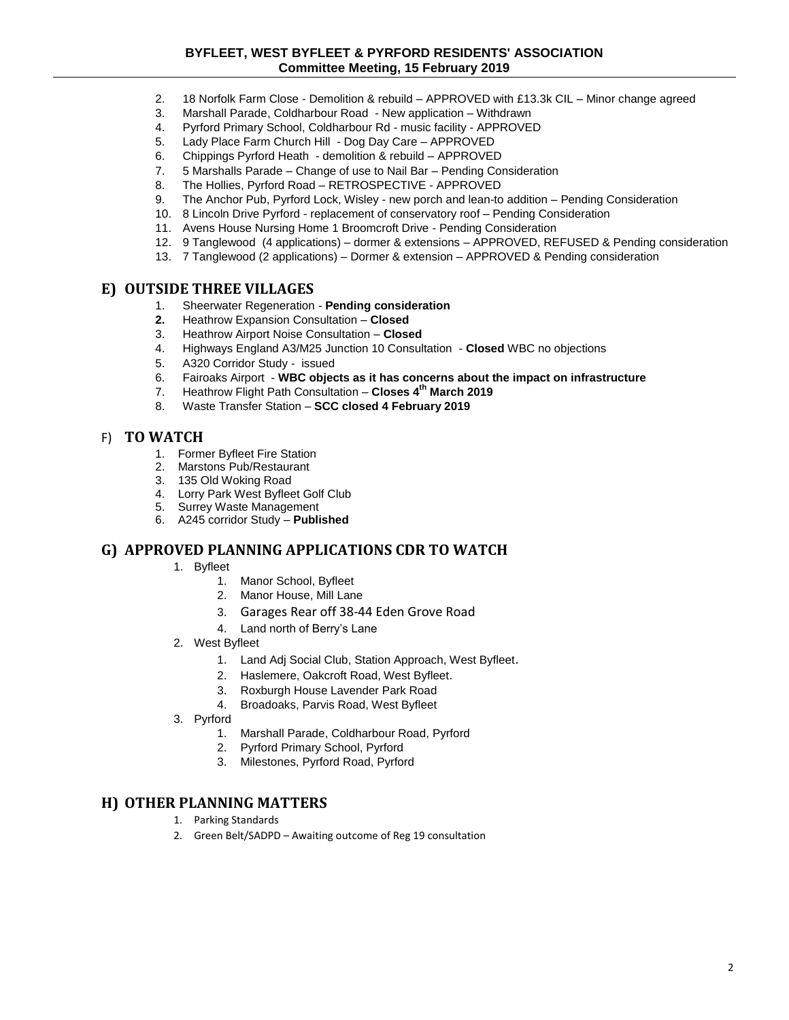#### **BYFLEET, WEST BYFLEET & PYRFORD RESIDENTS' ASSOCIATION Committee Meeting, 15 February 2019**

- 2. 18 Norfolk Farm Close Demolition & rebuild APPROVED with £13.3k CIL Minor change agreed
- 3. Marshall Parade, Coldharbour Road New application Withdrawn
- 4. Pyrford Primary School, Coldharbour Rd music facility APPROVED
- 5. Lady Place Farm Church Hill Dog Day Care APPROVED
- 6. Chippings Pyrford Heath demolition & rebuild APPROVED
- 7. 5 Marshalls Parade Change of use to Nail Bar Pending Consideration
- 8. The Hollies, Pyrford Road RETROSPECTIVE APPROVED
- 9. The Anchor Pub, Pyrford Lock, Wisley new porch and lean-to addition Pending Consideration
- 10. 8 Lincoln Drive Pyrford replacement of conservatory roof Pending Consideration
- 11. Avens House Nursing Home 1 Broomcroft Drive Pending Consideration
- 12. 9 Tanglewood (4 applications) dormer & extensions APPROVED, REFUSED & Pending consideration
- 13. 7 Tanglewood (2 applications) Dormer & extension APPROVED & Pending consideration

### **E) OUTSIDE THREE VILLAGES**

- 1. Sheerwater Regeneration **Pending consideration**
- **2.** Heathrow Expansion Consultation **Closed**
- 3. Heathrow Airport Noise Consultation **Closed**
- 4. Highways England A3/M25 Junction 10 Consultation **Closed** WBC no objections
- 5. A320 Corridor Study issued
- 6. Fairoaks Airport **WBC objects as it has concerns about the impact on infrastructure**
- 7. Heathrow Flight Path Consultation **Closes 4th March 2019**
- 8. Waste Transfer Station **SCC closed 4 February 2019**

#### F) **TO WATCH**

- 1. Former Byfleet Fire Station
- 2. Marstons Pub/Restaurant
- 3. 135 Old Woking Road
- 4. Lorry Park West Byfleet Golf Club
- 5. Surrey Waste Management
- 6. A245 corridor Study **Published**

### **G) APPROVED PLANNING APPLICATIONS CDR TO WATCH**

- 1. Byfleet
	- 1. Manor School, Byfleet
	- 2. Manor House, Mill Lane
	- 3. Garages Rear off 38-44 Eden Grove Road
	- 4. Land north of Berry's Lane
- 2. West Byfleet
	- 1. Land Adj Social Club, Station Approach, West Byfleet.
	- 2. Haslemere, Oakcroft Road, West Byfleet.
	- 3. Roxburgh House Lavender Park Road
	- 4. Broadoaks, Parvis Road, West Byfleet
- 3. Pyrford
	- 1. Marshall Parade, Coldharbour Road, Pyrford
	- 2. Pyrford Primary School, Pyrford
	- 3. Milestones, Pyrford Road, Pyrford

### **H) OTHER PLANNING MATTERS**

- 1. Parking Standards
- 2. Green Belt/SADPD Awaiting outcome of Reg 19 consultation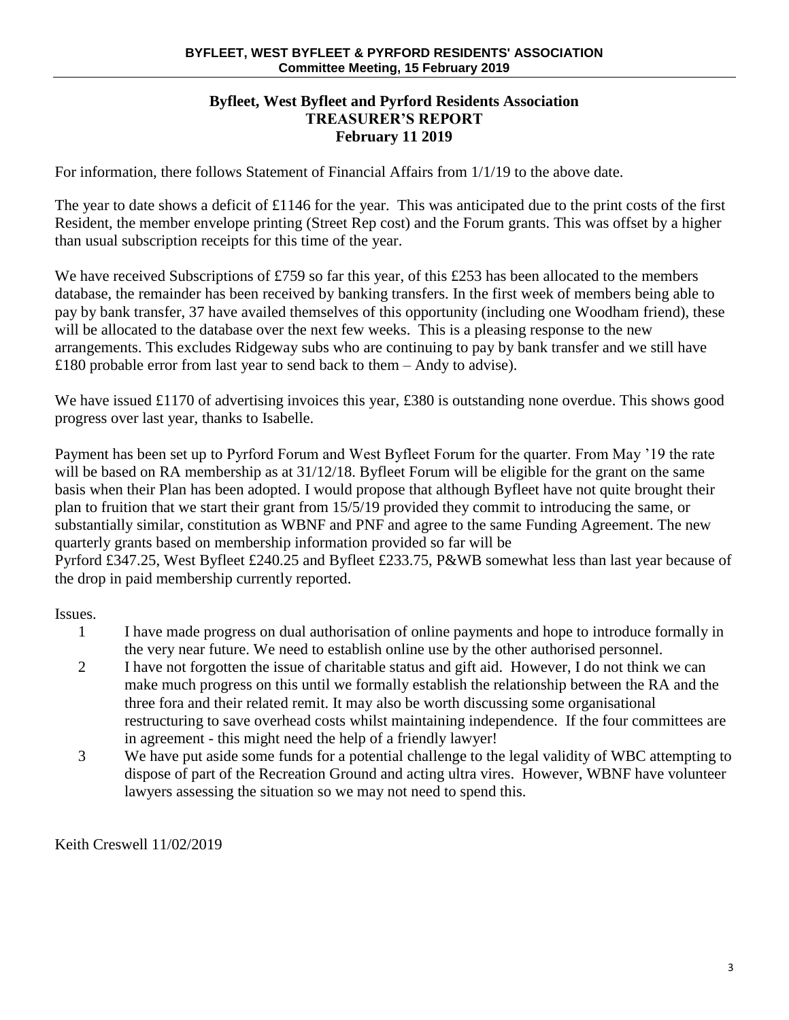## **Byfleet, West Byfleet and Pyrford Residents Association TREASURER'S REPORT February 11 2019**

For information, there follows Statement of Financial Affairs from 1/1/19 to the above date.

The year to date shows a deficit of £1146 for the year. This was anticipated due to the print costs of the first Resident, the member envelope printing (Street Rep cost) and the Forum grants. This was offset by a higher than usual subscription receipts for this time of the year.

We have received Subscriptions of £759 so far this year, of this £253 has been allocated to the members database, the remainder has been received by banking transfers. In the first week of members being able to pay by bank transfer, 37 have availed themselves of this opportunity (including one Woodham friend), these will be allocated to the database over the next few weeks. This is a pleasing response to the new arrangements. This excludes Ridgeway subs who are continuing to pay by bank transfer and we still have £180 probable error from last year to send back to them – Andy to advise).

We have issued £1170 of advertising invoices this year, £380 is outstanding none overdue. This shows good progress over last year, thanks to Isabelle.

Payment has been set up to Pyrford Forum and West Byfleet Forum for the quarter. From May '19 the rate will be based on RA membership as at  $31/12/18$ . Byfleet Forum will be eligible for the grant on the same basis when their Plan has been adopted. I would propose that although Byfleet have not quite brought their plan to fruition that we start their grant from 15/5/19 provided they commit to introducing the same, or substantially similar, constitution as WBNF and PNF and agree to the same Funding Agreement. The new quarterly grants based on membership information provided so far will be Pyrford £347.25, West Byfleet £240.25 and Byfleet £233.75, P&WB somewhat less than last year because of

the drop in paid membership currently reported.

Issues.

- 1 I have made progress on dual authorisation of online payments and hope to introduce formally in the very near future. We need to establish online use by the other authorised personnel.
- 2 I have not forgotten the issue of charitable status and gift aid. However, I do not think we can make much progress on this until we formally establish the relationship between the RA and the three fora and their related remit. It may also be worth discussing some organisational restructuring to save overhead costs whilst maintaining independence. If the four committees are in agreement - this might need the help of a friendly lawyer!
- 3 We have put aside some funds for a potential challenge to the legal validity of WBC attempting to dispose of part of the Recreation Ground and acting ultra vires. However, WBNF have volunteer lawyers assessing the situation so we may not need to spend this.

Keith Creswell 11/02/2019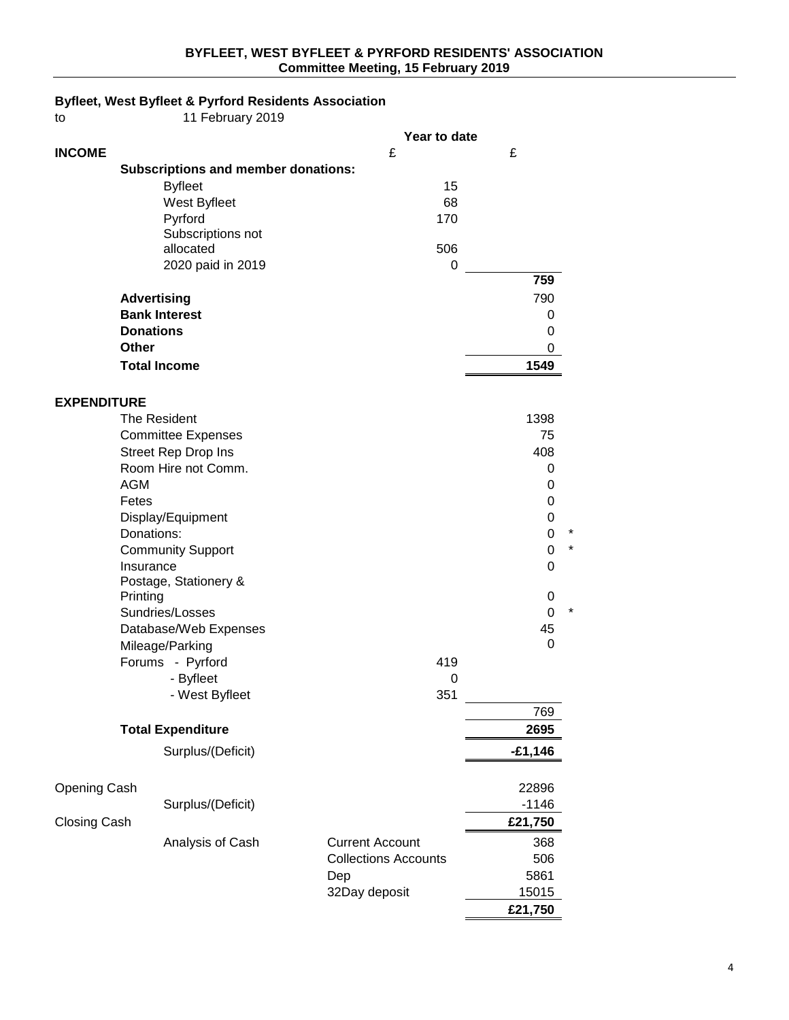## **BYFLEET, WEST BYFLEET & PYRFORD RESIDENTS' ASSOCIATION Committee Meeting, 15 February 2019**

# **Byfleet, West Byfleet & Pyrford Residents Association**

| to                  | 11 February 2019                           |                             |                   |
|---------------------|--------------------------------------------|-----------------------------|-------------------|
|                     |                                            | Year to date                |                   |
| <b>INCOME</b>       |                                            | £                           | £                 |
|                     | <b>Subscriptions and member donations:</b> |                             |                   |
|                     | <b>Byfleet</b>                             | 15                          |                   |
|                     | West Byfleet                               | 68                          |                   |
|                     | Pyrford                                    | 170                         |                   |
|                     | Subscriptions not                          |                             |                   |
|                     | allocated                                  | 506                         |                   |
|                     | 2020 paid in 2019                          | $\mathbf 0$                 | 759               |
|                     |                                            |                             | 790               |
|                     | <b>Advertising</b><br><b>Bank Interest</b> |                             | 0                 |
|                     | <b>Donations</b>                           |                             | 0                 |
|                     | <b>Other</b>                               |                             | 0                 |
|                     | <b>Total Income</b>                        |                             | 1549              |
|                     |                                            |                             |                   |
| <b>EXPENDITURE</b>  |                                            |                             |                   |
|                     | The Resident                               |                             | 1398              |
|                     | <b>Committee Expenses</b>                  |                             | 75                |
|                     | <b>Street Rep Drop Ins</b>                 |                             | 408               |
|                     | Room Hire not Comm.                        |                             | 0                 |
|                     | <b>AGM</b>                                 |                             | 0                 |
|                     | Fetes                                      |                             | 0                 |
|                     | Display/Equipment                          |                             | 0                 |
|                     | Donations:                                 |                             | 0<br>*<br>$\star$ |
|                     | <b>Community Support</b>                   |                             | 0                 |
|                     | Insurance<br>Postage, Stationery &         |                             | 0                 |
|                     | Printing                                   |                             | 0                 |
|                     | Sundries/Losses                            |                             | *<br>0            |
|                     | Database/Web Expenses                      |                             | 45                |
|                     | Mileage/Parking                            |                             | 0                 |
|                     | Forums - Pyrford                           | 419                         |                   |
|                     | - Byfleet                                  | 0                           |                   |
|                     | - West Byfleet                             | 351                         |                   |
|                     |                                            |                             | 769               |
|                     | <b>Total Expenditure</b>                   |                             | 2695              |
|                     | Surplus/(Deficit)                          |                             | $-£1,146$         |
| Opening Cash        |                                            |                             | 22896             |
|                     | Surplus/(Deficit)                          |                             | $-1146$           |
| <b>Closing Cash</b> |                                            |                             | £21,750           |
|                     | Analysis of Cash                           | <b>Current Account</b>      | 368               |
|                     |                                            | <b>Collections Accounts</b> | 506               |
|                     |                                            | Dep                         | 5861              |
|                     |                                            | 32Day deposit               | 15015             |
|                     |                                            |                             | £21,750           |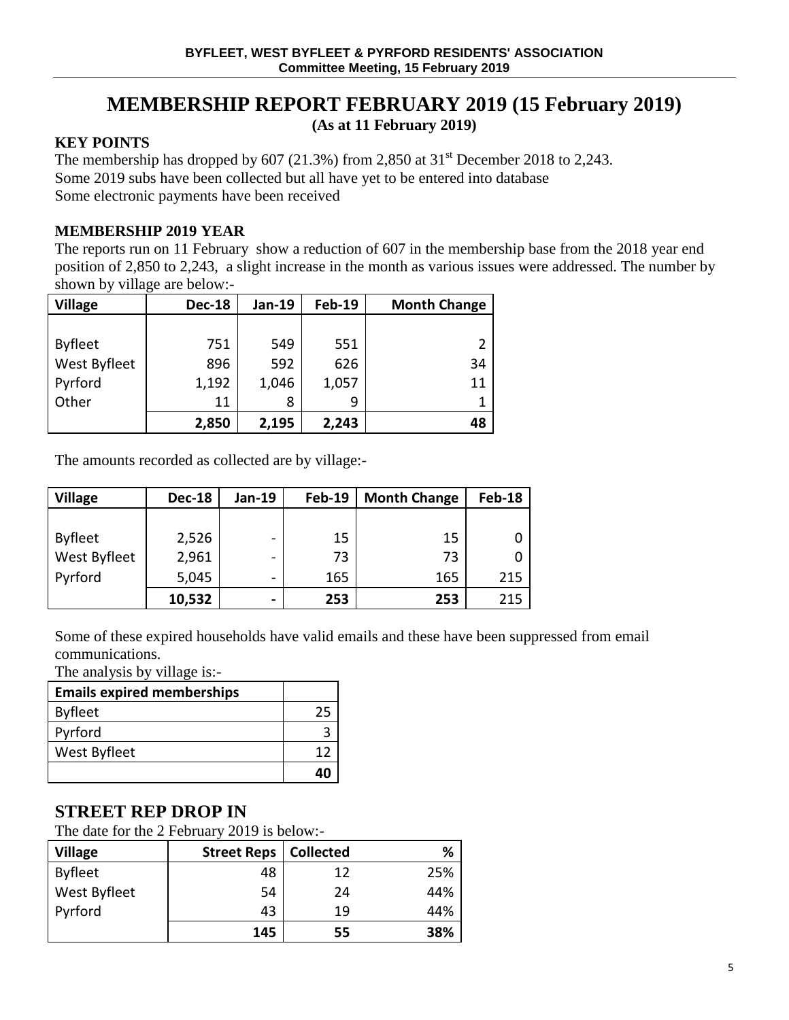# **MEMBERSHIP REPORT FEBRUARY 2019 (15 February 2019)**

**(As at 11 February 2019)**

# **KEY POINTS**

The membership has dropped by 607 (21.3%) from 2,850 at  $31<sup>st</sup>$  December 2018 to 2,243. Some 2019 subs have been collected but all have yet to be entered into database Some electronic payments have been received

# **MEMBERSHIP 2019 YEAR**

The reports run on 11 February show a reduction of 607 in the membership base from the 2018 year end position of 2,850 to 2,243, a slight increase in the month as various issues were addressed. The number by shown by village are below:-

| <b>Village</b> | <b>Dec-18</b> | Jan-19 | <b>Feb-19</b> | <b>Month Change</b> |
|----------------|---------------|--------|---------------|---------------------|
|                |               |        |               |                     |
| <b>Byfleet</b> | 751           | 549    | 551           |                     |
| West Byfleet   | 896           | 592    | 626           | 34                  |
| Pyrford        | 1,192         | 1,046  | 1,057         | 11                  |
| Other          | 11            | 8      | 9             |                     |
|                | 2,850         | 2,195  | 2,243         | 48                  |

The amounts recorded as collected are by village:-

| <b>Village</b>      | <b>Dec-18</b> | Jan-19                   | <b>Feb-19</b> | <b>Month Change</b> | <b>Feb-18</b> |
|---------------------|---------------|--------------------------|---------------|---------------------|---------------|
|                     |               |                          |               |                     |               |
| <b>Byfleet</b>      | 2,526         | $\overline{\phantom{0}}$ | 15            | 15                  |               |
| <b>West Byfleet</b> | 2,961         | -                        | 73            | 73                  |               |
| Pyrford             | 5,045         | $\overline{\phantom{0}}$ | 165           | 165                 | 215           |
|                     | 10,532        | $\blacksquare$           | 253           | 253                 | 215           |

Some of these expired households have valid emails and these have been suppressed from email communications.

The analysis by village is:-

| <b>Emails expired memberships</b> |    |
|-----------------------------------|----|
| <b>Byfleet</b>                    | 25 |
| Pyrford                           |    |
| West Byfleet                      | 17 |
|                                   | 40 |

# **STREET REP DROP IN**

The date for the 2 February 2019 is below:-

| <b>Village</b> | <b>Street Reps</b> | <b>Collected</b> | %   |
|----------------|--------------------|------------------|-----|
| <b>Byfleet</b> | 48                 | 12               | 25% |
| West Byfleet   | 54                 | 24               | 44% |
| Pyrford        | 43                 | 19               | 44% |
|                | 145                | 55               | 38% |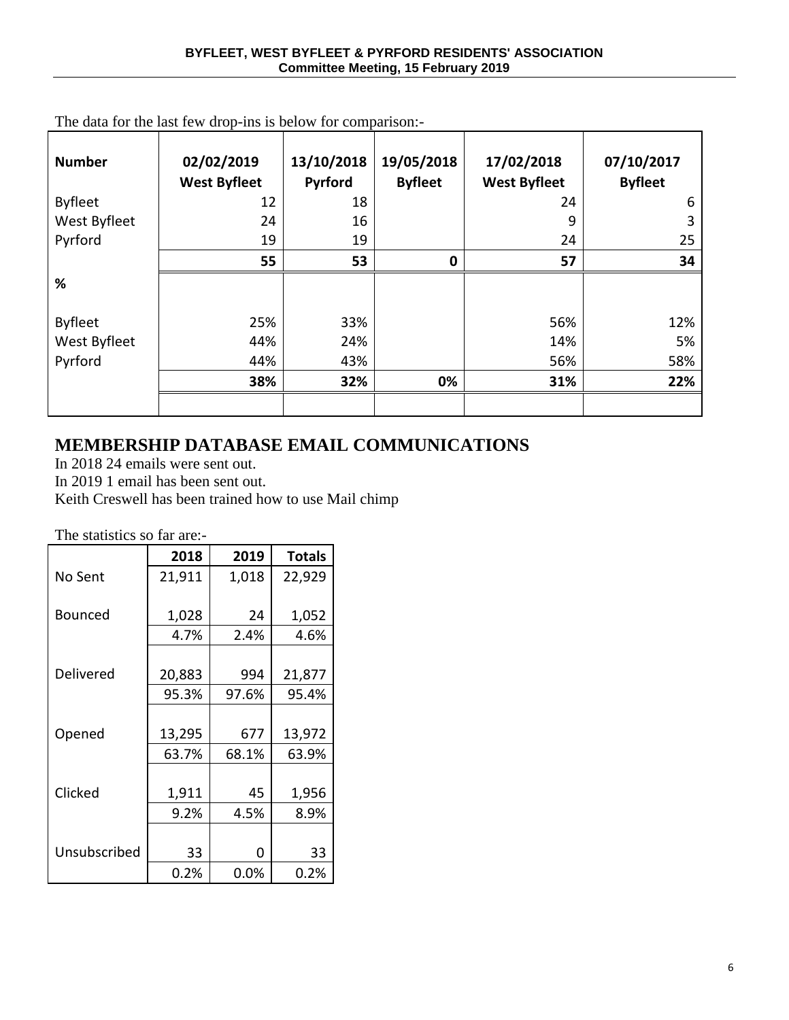| <b>Number</b>  | 02/02/2019<br><b>West Byfleet</b> | 13/10/2018<br>Pyrford | 19/05/2018<br><b>Byfleet</b> | 17/02/2018<br><b>West Byfleet</b> | 07/10/2017<br><b>Byfleet</b> |
|----------------|-----------------------------------|-----------------------|------------------------------|-----------------------------------|------------------------------|
| <b>Byfleet</b> | 12                                | 18                    |                              | 24                                | 6                            |
| West Byfleet   | 24                                | 16                    |                              | 9                                 | 3                            |
| Pyrford        | 19                                | 19                    |                              | 24                                | 25                           |
|                | 55                                | 53                    | $\bf{0}$                     | 57                                | 34                           |
| %              |                                   |                       |                              |                                   |                              |
| <b>Byfleet</b> | 25%                               | 33%                   |                              | 56%                               | 12%                          |
| West Byfleet   | 44%                               | 24%                   |                              | 14%                               | 5%                           |
| Pyrford        | 44%                               | 43%                   |                              | 56%                               | 58%                          |
|                | 38%                               | 32%                   | 0%                           | 31%                               | 22%                          |
|                |                                   |                       |                              |                                   |                              |

The data for the last few drop-ins is below for comparison:-

# **MEMBERSHIP DATABASE EMAIL COMMUNICATIONS**

In 2018 24 emails were sent out.

In 2019 1 email has been sent out.

Keith Creswell has been trained how to use Mail chimp

The statistics so far are:-

|              | 2018   | 2019  | <b>Totals</b> |
|--------------|--------|-------|---------------|
| No Sent      | 21,911 | 1,018 | 22,929        |
| Bounced      | 1,028  | 24    | 1,052         |
|              | 4.7%   | 2.4%  | 4.6%          |
|              |        |       |               |
| Delivered    | 20,883 | 994   | 21,877        |
|              | 95.3%  | 97.6% | 95.4%         |
|              |        |       |               |
| Opened       | 13,295 | 677   | 13,972        |
|              | 63.7%  | 68.1% | 63.9%         |
|              |        |       |               |
| Clicked      | 1,911  | 45    | 1,956         |
|              | 9.2%   | 4.5%  | 8.9%          |
|              |        |       |               |
| Unsubscribed | 33     | 0     | 33            |
|              | 0.2%   | 0.0%  | 0.2%          |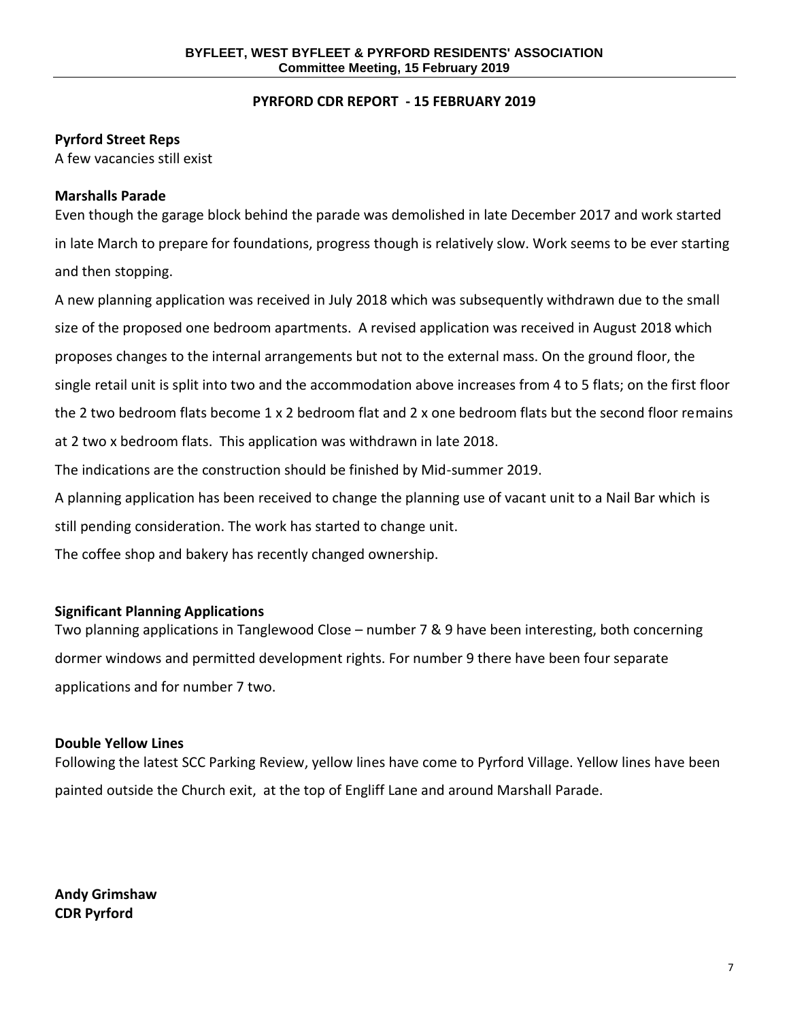### **PYRFORD CDR REPORT - 15 FEBRUARY 2019**

# **Pyrford Street Reps**

A few vacancies still exist

# **Marshalls Parade**

Even though the garage block behind the parade was demolished in late December 2017 and work started in late March to prepare for foundations, progress though is relatively slow. Work seems to be ever starting and then stopping.

A new planning application was received in July 2018 which was subsequently withdrawn due to the small size of the proposed one bedroom apartments. A revised application was received in August 2018 which proposes changes to the internal arrangements but not to the external mass. On the ground floor, the single retail unit is split into two and the accommodation above increases from 4 to 5 flats; on the first floor the 2 two bedroom flats become 1 x 2 bedroom flat and 2 x one bedroom flats but the second floor remains at 2 two x bedroom flats. This application was withdrawn in late 2018. The indications are the construction should be finished by Mid-summer 2019.

A planning application has been received to change the planning use of vacant unit to a Nail Bar which is

still pending consideration. The work has started to change unit.

The coffee shop and bakery has recently changed ownership.

# **Significant Planning Applications**

Two planning applications in Tanglewood Close – number 7 & 9 have been interesting, both concerning dormer windows and permitted development rights. For number 9 there have been four separate applications and for number 7 two.

## **Double Yellow Lines**

Following the latest SCC Parking Review, yellow lines have come to Pyrford Village. Yellow lines have been painted outside the Church exit, at the top of Engliff Lane and around Marshall Parade.

**Andy Grimshaw CDR Pyrford**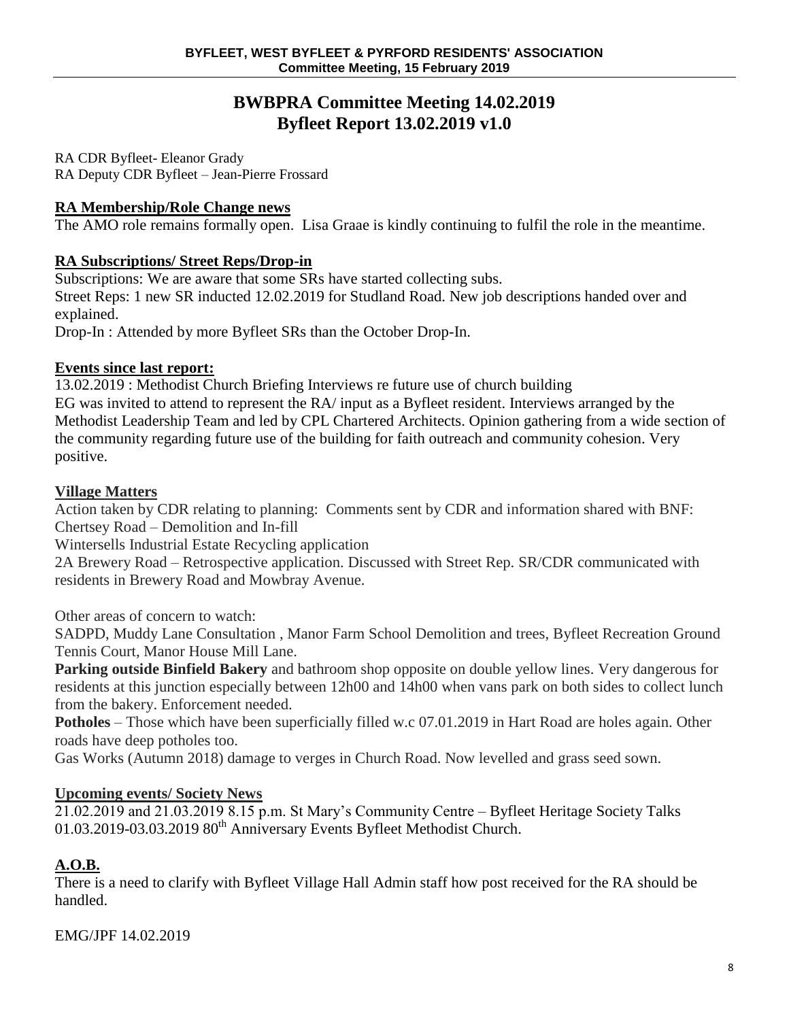# **BWBPRA Committee Meeting 14.02.2019 Byfleet Report 13.02.2019 v1.0**

RA CDR Byfleet- Eleanor Grady RA Deputy CDR Byfleet – Jean-Pierre Frossard

# **RA Membership/Role Change news**

The AMO role remains formally open. Lisa Graae is kindly continuing to fulfil the role in the meantime.

# **RA Subscriptions/ Street Reps/Drop-in**

Subscriptions: We are aware that some SRs have started collecting subs. Street Reps: 1 new SR inducted 12.02.2019 for Studland Road. New job descriptions handed over and explained.

Drop-In : Attended by more Byfleet SRs than the October Drop-In.

# **Events since last report:**

13.02.2019 : Methodist Church Briefing Interviews re future use of church building EG was invited to attend to represent the RA/ input as a Byfleet resident. Interviews arranged by the Methodist Leadership Team and led by CPL Chartered Architects. Opinion gathering from a wide section of the community regarding future use of the building for faith outreach and community cohesion. Very positive.

# **Village Matters**

Action taken by CDR relating to planning: Comments sent by CDR and information shared with BNF: Chertsey Road – Demolition and In-fill

Wintersells Industrial Estate Recycling application

2A Brewery Road – Retrospective application. Discussed with Street Rep. SR/CDR communicated with residents in Brewery Road and Mowbray Avenue.

Other areas of concern to watch:

SADPD, Muddy Lane Consultation , Manor Farm School Demolition and trees, Byfleet Recreation Ground Tennis Court, Manor House Mill Lane.

**Parking outside Binfield Bakery** and bathroom shop opposite on double yellow lines. Very dangerous for residents at this junction especially between 12h00 and 14h00 when vans park on both sides to collect lunch from the bakery. Enforcement needed.

**Potholes** – Those which have been superficially filled w.c 07.01.2019 in Hart Road are holes again. Other roads have deep potholes too.

Gas Works (Autumn 2018) damage to verges in Church Road. Now levelled and grass seed sown.

# **Upcoming events/ Society News**

 $21.02.2019$  and  $21.03.20198.15$  p.m. St Mary's Community Centre – Byfleet Heritage Society Talks 01.03.2019-03.03.2019 80<sup>th</sup> Anniversary Events Byfleet Methodist Church.

# **A.O.B.**

There is a need to clarify with Byfleet Village Hall Admin staff how post received for the RA should be handled.

EMG/JPF 14.02.2019